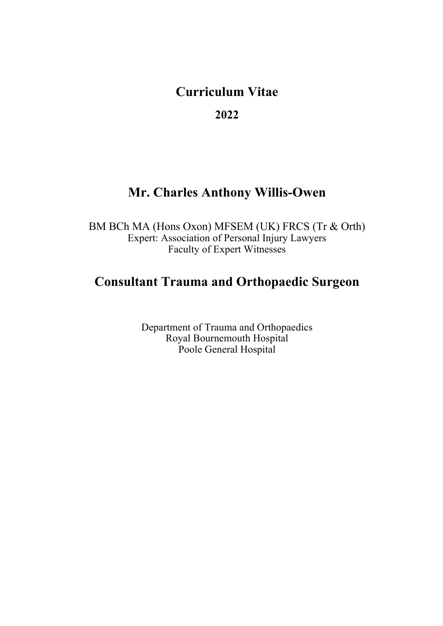# **Curriculum Vitae**

**2022**

# **Mr. Charles Anthony Willis-Owen**

BM BCh MA (Hons Oxon) MFSEM (UK) FRCS (Tr & Orth) Expert: Association of Personal Injury Lawyers Faculty of Expert Witnesses

# **Consultant Trauma and Orthopaedic Surgeon**

Department of Trauma and Orthopaedics Royal Bournemouth Hospital Poole General Hospital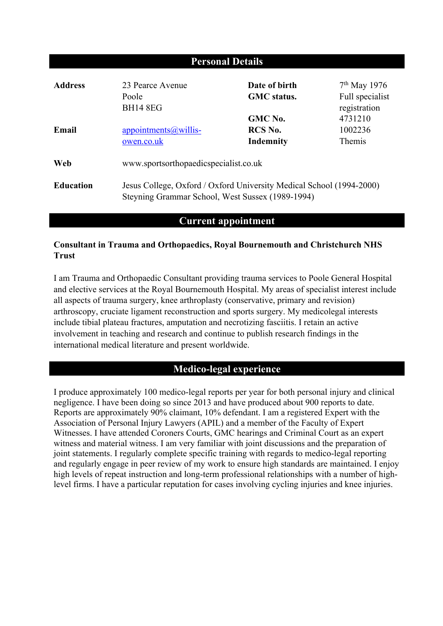| <b>Personal Details</b> |                                                                                                                          |                                     |                                   |
|-------------------------|--------------------------------------------------------------------------------------------------------------------------|-------------------------------------|-----------------------------------|
| <b>Address</b>          | 23 Pearce Avenue<br>Poole                                                                                                | Date of birth<br><b>GMC</b> status. | $7th$ May 1976<br>Full specialist |
|                         | <b>BH14 8EG</b>                                                                                                          | GMC No.                             | registration<br>4731210           |
| Email                   | $\frac{appointments(a)$ willis-<br>owen.co.uk                                                                            | RCS No.<br>Indemnity                | 1002236<br>Themis                 |
| Web                     | www.sportsorthopaedicspecialist.co.uk                                                                                    |                                     |                                   |
| <b>Education</b>        | Jesus College, Oxford / Oxford University Medical School (1994-2000)<br>Steyning Grammar School, West Sussex (1989-1994) |                                     |                                   |

# **Current appointment**

## **Consultant in Trauma and Orthopaedics, Royal Bournemouth and Christchurch NHS Trust**

I am Trauma and Orthopaedic Consultant providing trauma services to Poole General Hospital and elective services at the Royal Bournemouth Hospital. My areas of specialist interest include all aspects of trauma surgery, knee arthroplasty (conservative, primary and revision) arthroscopy, cruciate ligament reconstruction and sports surgery. My medicolegal interests include tibial plateau fractures, amputation and necrotizing fasciitis. I retain an active involvement in teaching and research and continue to publish research findings in the international medical literature and present worldwide.

## **Medico-legal experience**

I produce approximately 100 medico-legal reports per year for both personal injury and clinical negligence. I have been doing so since 2013 and have produced about 900 reports to date. Reports are approximately 90% claimant, 10% defendant. I am a registered Expert with the Association of Personal Injury Lawyers (APIL) and a member of the Faculty of Expert Witnesses. I have attended Coroners Courts, GMC hearings and Criminal Court as an expert witness and material witness. I am very familiar with joint discussions and the preparation of joint statements. I regularly complete specific training with regards to medico-legal reporting and regularly engage in peer review of my work to ensure high standards are maintained. I enjoy high levels of repeat instruction and long-term professional relationships with a number of highlevel firms. I have a particular reputation for cases involving cycling injuries and knee injuries.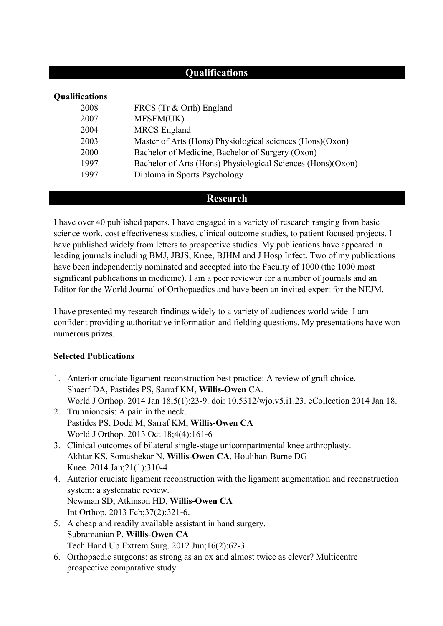# **Qualifications**

| <b>Qualifications</b> |                                                             |  |
|-----------------------|-------------------------------------------------------------|--|
| 2008                  | FRCS (Tr & Orth) England                                    |  |
| 2007                  | MFSEM(UK)                                                   |  |
| 2004                  | <b>MRCS</b> England                                         |  |
| 2003                  | Master of Arts (Hons) Physiological sciences (Hons)(Oxon)   |  |
| 2000                  | Bachelor of Medicine, Bachelor of Surgery (Oxon)            |  |
| 1997                  | Bachelor of Arts (Hons) Physiological Sciences (Hons)(Oxon) |  |
| 1997                  | Diploma in Sports Psychology                                |  |
|                       |                                                             |  |

#### **Research**

I have over 40 published papers. I have engaged in a variety of research ranging from basic science work, cost effectiveness studies, clinical outcome studies, to patient focused projects. I have published widely from letters to prospective studies. My publications have appeared in leading journals including BMJ, JBJS, Knee, BJHM and J Hosp Infect. Two of my publications have been independently nominated and accepted into the Faculty of 1000 (the 1000 most significant publications in medicine). I am a peer reviewer for a number of journals and an Editor for the World Journal of Orthopaedics and have been an invited expert for the NEJM.

I have presented my research findings widely to a variety of audiences world wide. I am confident providing authoritative information and fielding questions. My presentations have won numerous prizes.

#### **Selected Publications**

- 1. Anterior cruciate ligament reconstruction best practice: A review of graft choice. Shaerf DA, Pastides PS, Sarraf KM, **Willis-Owen** CA. World J Orthop. 2014 Jan 18;5(1):23-9. doi: 10.5312/wjo.v5.i1.23. eCollection 2014 Jan 18.
- 2. Trunnionosis: A pain in the neck. Pastides PS, Dodd M, Sarraf KM, **Willis-Owen CA** World J Orthop. 2013 Oct 18;4(4):161-6
- 3. Clinical outcomes of bilateral single-stage unicompartmental knee arthroplasty. Akhtar KS, Somashekar N, **Willis-Owen CA**, Houlihan-Burne DG Knee. 2014 Jan;21(1):310-4
- 4. Anterior cruciate ligament reconstruction with the ligament augmentation and reconstruction system: a systematic review. Newman SD, Atkinson HD, **Willis-Owen CA** Int Orthop. 2013 Feb;37(2):321-6.
- 5. A cheap and readily available assistant in hand surgery. Subramanian P, **Willis-Owen CA** Tech Hand Up Extrem Surg. 2012 Jun;16(2):62-3
- 6. Orthopaedic surgeons: as strong as an ox and almost twice as clever? Multicentre prospective comparative study.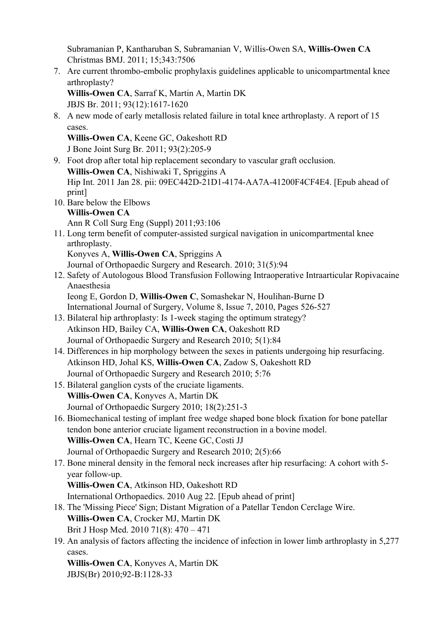Subramanian P, Kantharuban S, Subramanian V, Willis-Owen SA, **Willis-Owen CA** Christmas BMJ. 2011; 15;343:7506

7. Are current thrombo-embolic prophylaxis guidelines applicable to unicompartmental knee arthroplasty? **Willis-Owen CA**, Sarraf K, Martin A, Martin DK JBJS Br. 2011; 93(12):1617-1620 8. A new mode of early metallosis related failure in total knee arthroplasty. A report of 15 cases. **Willis-Owen CA**, Keene GC, Oakeshott RD J Bone Joint Surg Br. 2011; 93(2):205-9 9. Foot drop after total hip replacement secondary to vascular graft occlusion. **Willis-Owen CA**, Nishiwaki T, Spriggins A Hip Int. 2011 Jan 28. pii: 09EC442D-21D1-4174-AA7A-41200F4CF4E4. [Epub ahead of print] 10. Bare below the Elbows **Willis-Owen CA** Ann R Coll Surg Eng (Suppl) 2011;93:106 11. Long term benefit of computer-assisted surgical navigation in unicompartmental knee arthroplasty. Konyves A, **Willis-Owen CA**, Spriggins A Journal of Orthopaedic Surgery and Research. 2010; 31(5):94 12. Safety of Autologous Blood Transfusion Following Intraoperative Intraarticular Ropivacaine Anaesthesia Ieong E, Gordon D, **Willis-Owen C**, Somashekar N, Houlihan-Burne D International Journal of Surgery, Volume 8, Issue 7, 2010, Pages 526-527 13. Bilateral hip arthroplasty: Is 1-week staging the optimum strategy? Atkinson HD, Bailey CA, **Willis-Owen CA**, Oakeshott RD Journal of Orthopaedic Surgery and Research 2010; 5(1):84 14. Differences in hip morphology between the sexes in patients undergoing hip resurfacing. Atkinson HD, Johal KS, **Willis-Owen CA**, Zadow S, Oakeshott RD Journal of Orthopaedic Surgery and Research 2010; 5:76 15. Bilateral ganglion cysts of the cruciate ligaments. **Willis-Owen CA**, Konyves A, Martin DK Journal of Orthopaedic Surgery 2010; 18(2):251-3 16. Biomechanical testing of implant free wedge shaped bone block fixation for bone patellar tendon bone anterior cruciate ligament reconstruction in a bovine model. **Willis-Owen CA**, Hearn TC, Keene GC,Costi JJ Journal of Orthopaedic Surgery and Research 2010; 2(5):66 17. Bone mineral density in the femoral neck increases after hip resurfacing: A cohort with 5 year follow-up. **Willis-Owen CA**, Atkinson HD, Oakeshott RD International Orthopaedics. 2010 Aug 22. [Epub ahead of print] 18. The 'Missing Piece' Sign; Distant Migration of a Patellar Tendon Cerclage Wire. **Willis-Owen CA**, Crocker MJ, Martin DK Brit J Hosp Med. 2010 71(8): 470 – 471 19. An analysis of factors affecting the incidence of infection in lower limb arthroplasty in 5,277 cases.

**Willis-Owen CA**, Konyves A, Martin DK JBJS(Br) 2010;92-B:1128-33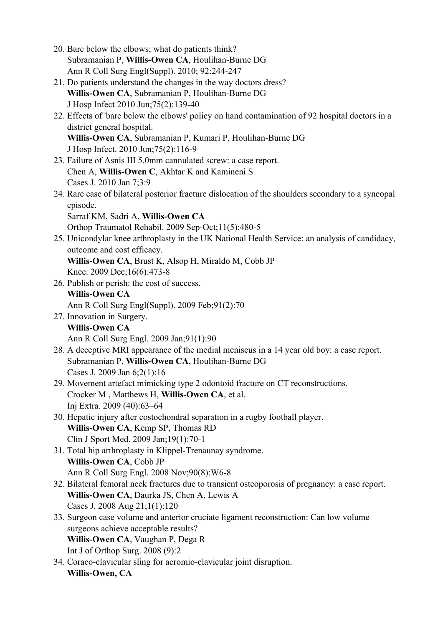- 20. Bare below the elbows; what do patients think? Subramanian P, **Willis-Owen CA**, Houlihan-Burne DG Ann R Coll Surg Engl(Suppl). 2010; 92:244-247
- 21. Do patients understand the changes in the way doctors dress? **Willis-Owen CA**, Subramanian P, Houlihan-Burne DG J Hosp Infect 2010 Jun;75(2):139-40
- 22. Effects of 'bare below the elbows' policy on hand contamination of 92 hospital doctors in a district general hospital. **Willis-Owen CA**, Subramanian P, Kumari P, Houlihan-Burne DG J Hosp Infect. 2010 Jun;75(2):116-9
- 23. Failure of Asnis III 5.0mm cannulated screw: a case report. Chen A, **Willis-Owen C**, Akhtar K and Kamineni S Cases J. 2010 Jan 7;3:9
- 24. Rare case of bilateral posterior fracture dislocation of the shoulders secondary to a syncopal episode. Sarraf KM, Sadri A, **Willis-Owen CA**
	- Orthop Traumatol Rehabil. 2009 Sep-Oct;11(5):480-5
- 25. Unicondylar knee arthroplasty in the UK National Health Service: an analysis of candidacy, outcome and cost efficacy.
	- **Willis-Owen CA**, Brust K, Alsop H, Miraldo M, Cobb JP Knee. 2009 Dec;16(6):473-8
- 26. Publish or perish: the cost of success. **Willis-Owen CA**
	- Ann R Coll Surg Engl(Suppl). 2009 Feb;91(2):70
- 27. Innovation in Surgery. **Willis-Owen CA** Ann R Coll Surg Engl. 2009 Jan;91(1):90
- 28. A deceptive MRI appearance of the medial meniscus in a 14 year old boy: a case report. Subramanian P, **Willis-Owen CA**, Houlihan-Burne DG Cases J. 2009 Jan 6;2(1):16
- 29. Movement artefact mimicking type 2 odontoid fracture on CT reconstructions. Crocker M , Matthews H, **Willis-Owen CA**, et al. Inj Extra. 2009 (40):63–64
- 30. Hepatic injury after costochondral separation in a rugby football player. **Willis-Owen CA**, Kemp SP, Thomas RD Clin J Sport Med. 2009 Jan;19(1):70-1
- 31. Total hip arthroplasty in Klippel-Trenaunay syndrome. **Willis-Owen CA**, Cobb JP Ann R Coll Surg Engl. 2008 Nov;90(8):W6-8
- 32. Bilateral femoral neck fractures due to transient osteoporosis of pregnancy: a case report. **Willis-Owen CA**, Daurka JS, Chen A, Lewis A Cases J. 2008 Aug 21;1(1):120
- 33. Surgeon case volume and anterior cruciate ligament reconstruction: Can low volume surgeons achieve acceptable results? **Willis-Owen CA**, Vaughan P, Dega R
	- Int J of Orthop Surg. 2008 (9):2
- 34. Coraco-clavicular sling for acromio-clavicular joint disruption. **Willis-Owen, CA**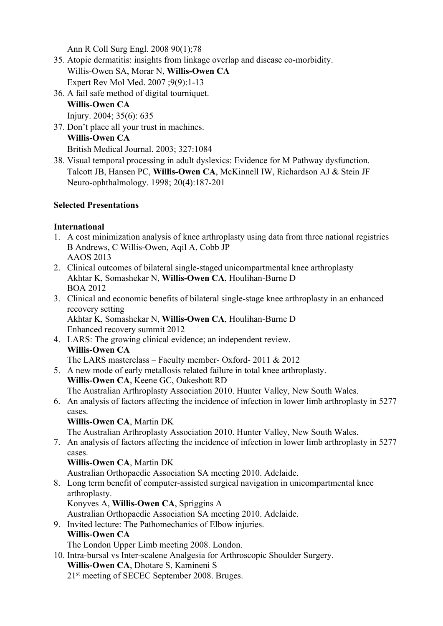Ann R Coll Surg Engl. 2008 90(1);78

- 35. Atopic dermatitis: insights from linkage overlap and disease co-morbidity. Willis-Owen SA, Morar N, **Willis-Owen CA**  Expert Rev Mol Med. 2007 ;9(9):1-13
- 36. A fail safe method of digital tourniquet. **Willis-Owen CA** Injury. 2004; 35(6): 635
- 37. Don't place all your trust in machines. **Willis-Owen CA** British Medical Journal. 2003; 327:1084
- 38. Visual temporal processing in adult dyslexics: Evidence for M Pathway dysfunction. Talcott JB, Hansen PC, **Willis-Owen CA**, McKinnell IW, Richardson AJ & Stein JF Neuro-ophthalmology. 1998; 20(4):187-201

#### **Selected Presentations**

#### **International**

- 1. A cost minimization analysis of knee arthroplasty using data from three national registries B Andrews, C Willis-Owen, Aqil A, Cobb JP AAOS 2013
- 2. Clinical outcomes of bilateral single-staged unicompartmental knee arthroplasty Akhtar K, Somashekar N, **Willis-Owen CA**, Houlihan-Burne D BOA 2012
- 3. Clinical and economic benefits of bilateral single-stage knee arthroplasty in an enhanced recovery setting Akhtar K, Somashekar N, **Willis-Owen CA**, Houlihan-Burne D Enhanced recovery summit 2012
- 4. LARS: The growing clinical evidence; an independent review. **Willis-Owen CA**
- The LARS masterclass Faculty member- Oxford- 2011 & 2012 5. A new mode of early metallosis related failure in total knee arthroplasty.
- **Willis-Owen CA**, Keene GC, Oakeshott RD
- The Australian Arthroplasty Association 2010. Hunter Valley, New South Wales. 6. An analysis of factors affecting the incidence of infection in lower limb arthroplasty in 5277 cases.

#### **Willis-Owen CA**, Martin DK

The Australian Arthroplasty Association 2010. Hunter Valley, New South Wales.

7. An analysis of factors affecting the incidence of infection in lower limb arthroplasty in 5277 cases.

## **Willis-Owen CA**, Martin DK

Australian Orthopaedic Association SA meeting 2010. Adelaide.

8. Long term benefit of computer-assisted surgical navigation in unicompartmental knee arthroplasty.

Konyves A, **Willis-Owen CA**, Spriggins A

Australian Orthopaedic Association SA meeting 2010. Adelaide.

9. Invited lecture: The Pathomechanics of Elbow injuries.

# **Willis-Owen CA**

The London Upper Limb meeting 2008. London.

- 10. Intra-bursal vs Inter-scalene Analgesia for Arthroscopic Shoulder Surgery. **Willis-Owen CA**, Dhotare S, Kamineni S
	- 21st meeting of SECEC September 2008. Bruges.